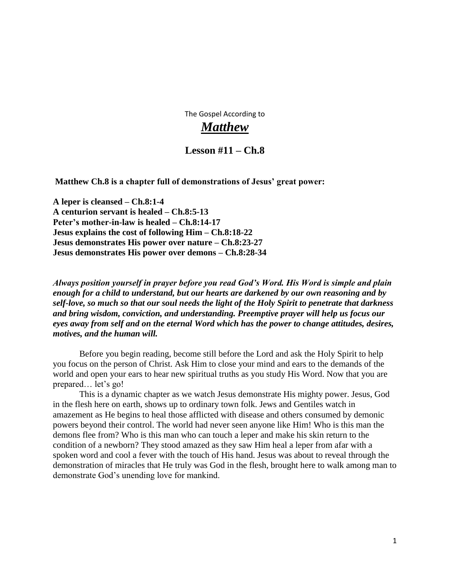The Gospel According to

# *Matthew*

# **Lesson #11 – Ch.8**

**Matthew Ch.8 is a chapter full of demonstrations of Jesus' great power:**

**A leper is cleansed – Ch.8:1-4 A centurion servant is healed – Ch.8:5-13 Peter's mother-in-law is healed – Ch.8:14-17 Jesus explains the cost of following Him – Ch.8:18-22 Jesus demonstrates His power over nature – Ch.8:23-27 Jesus demonstrates His power over demons – Ch.8:28-34**

*Always position yourself in prayer before you read God's Word. His Word is simple and plain enough for a child to understand, but our hearts are darkened by our own reasoning and by self-love, so much so that our soul needs the light of the Holy Spirit to penetrate that darkness and bring wisdom, conviction, and understanding. Preemptive prayer will help us focus our eyes away from self and on the eternal Word which has the power to change attitudes, desires, motives, and the human will.*

 Before you begin reading, become still before the Lord and ask the Holy Spirit to help you focus on the person of Christ. Ask Him to close your mind and ears to the demands of the world and open your ears to hear new spiritual truths as you study His Word. Now that you are prepared… let's go!

 This is a dynamic chapter as we watch Jesus demonstrate His mighty power. Jesus, God in the flesh here on earth, shows up to ordinary town folk. Jews and Gentiles watch in amazement as He begins to heal those afflicted with disease and others consumed by demonic powers beyond their control. The world had never seen anyone like Him! Who is this man the demons flee from? Who is this man who can touch a leper and make his skin return to the condition of a newborn? They stood amazed as they saw Him heal a leper from afar with a spoken word and cool a fever with the touch of His hand. Jesus was about to reveal through the demonstration of miracles that He truly was God in the flesh, brought here to walk among man to demonstrate God's unending love for mankind.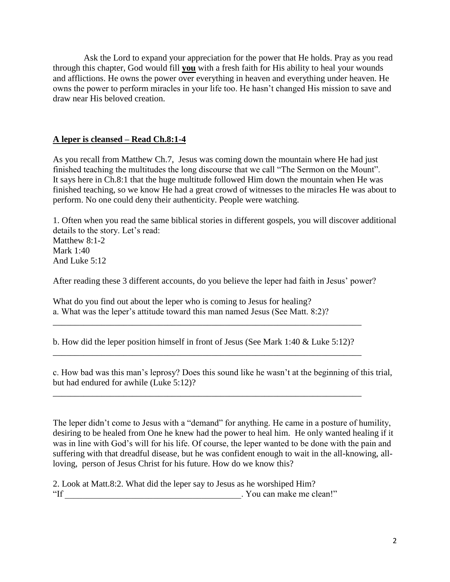Ask the Lord to expand your appreciation for the power that He holds. Pray as you read through this chapter, God would fill **you** with a fresh faith for His ability to heal your wounds and afflictions. He owns the power over everything in heaven and everything under heaven. He owns the power to perform miracles in your life too. He hasn't changed His mission to save and draw near His beloved creation.

# **A leper is cleansed – Read Ch.8:1-4**

As you recall from Matthew Ch.7, Jesus was coming down the mountain where He had just finished teaching the multitudes the long discourse that we call "The Sermon on the Mount". It says here in Ch.8:1 that the huge multitude followed Him down the mountain when He was finished teaching, so we know He had a great crowd of witnesses to the miracles He was about to perform. No one could deny their authenticity. People were watching.

1. Often when you read the same biblical stories in different gospels, you will discover additional details to the story. Let's read: Matthew 8:1-2 Mark 1:40 And Luke 5:12

After reading these 3 different accounts, do you believe the leper had faith in Jesus' power?

What do you find out about the leper who is coming to Jesus for healing? a. What was the leper's attitude toward this man named Jesus (See Matt. 8:2)?

b. How did the leper position himself in front of Jesus (See Mark 1:40 & Luke 5:12)? \_\_\_\_\_\_\_\_\_\_\_\_\_\_\_\_\_\_\_\_\_\_\_\_\_\_\_\_\_\_\_\_\_\_\_\_\_\_\_\_\_\_\_\_\_\_\_\_\_\_\_\_\_\_\_\_\_\_\_\_\_\_\_\_\_\_\_\_\_\_

\_\_\_\_\_\_\_\_\_\_\_\_\_\_\_\_\_\_\_\_\_\_\_\_\_\_\_\_\_\_\_\_\_\_\_\_\_\_\_\_\_\_\_\_\_\_\_\_\_\_\_\_\_\_\_\_\_\_\_\_\_\_\_\_\_\_\_\_\_\_

\_\_\_\_\_\_\_\_\_\_\_\_\_\_\_\_\_\_\_\_\_\_\_\_\_\_\_\_\_\_\_\_\_\_\_\_\_\_\_\_\_\_\_\_\_\_\_\_\_\_\_\_\_\_\_\_\_\_\_\_\_\_\_\_\_\_\_\_\_\_

c. How bad was this man's leprosy? Does this sound like he wasn't at the beginning of this trial, but had endured for awhile (Luke 5:12)?

The leper didn't come to Jesus with a "demand" for anything. He came in a posture of humility, desiring to be healed from One he knew had the power to heal him. He only wanted healing if it was in line with God's will for his life. Of course, the leper wanted to be done with the pain and suffering with that dreadful disease, but he was confident enough to wait in the all-knowing, allloving, person of Jesus Christ for his future. How do we know this?

2. Look at Matt.8:2. What did the leper say to Jesus as he worshiped Him? "If \_\_\_\_\_\_\_\_\_\_\_\_\_\_\_\_\_\_\_\_\_\_\_\_\_\_\_\_\_\_\_\_\_\_\_\_\_\_\_\_. You can make me clean!"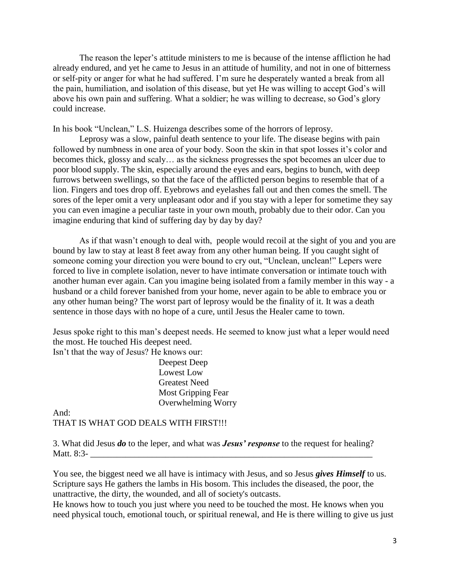The reason the leper's attitude ministers to me is because of the intense affliction he had already endured, and yet he came to Jesus in an attitude of humility, and not in one of bitterness or self-pity or anger for what he had suffered. I'm sure he desperately wanted a break from all the pain, humiliation, and isolation of this disease, but yet He was willing to accept God's will above his own pain and suffering. What a soldier; he was willing to decrease, so God's glory could increase.

In his book "Unclean," L.S. Huizenga describes some of the horrors of leprosy.

 Leprosy was a slow, painful death sentence to your life. The disease begins with pain followed by numbness in one area of your body. Soon the skin in that spot losses it's color and becomes thick, glossy and scaly… as the sickness progresses the spot becomes an ulcer due to poor blood supply. The skin, especially around the eyes and ears, begins to bunch, with deep furrows between swellings, so that the face of the afflicted person begins to resemble that of a lion. Fingers and toes drop off. Eyebrows and eyelashes fall out and then comes the smell. The sores of the leper omit a very unpleasant odor and if you stay with a leper for sometime they say you can even imagine a peculiar taste in your own mouth, probably due to their odor. Can you imagine enduring that kind of suffering day by day by day?

 As if that wasn't enough to deal with, people would recoil at the sight of you and you are bound by law to stay at least 8 feet away from any other human being. If you caught sight of someone coming your direction you were bound to cry out, "Unclean, unclean!" Lepers were forced to live in complete isolation, never to have intimate conversation or intimate touch with another human ever again. Can you imagine being isolated from a family member in this way - a husband or a child forever banished from your home, never again to be able to embrace you or any other human being? The worst part of leprosy would be the finality of it. It was a death sentence in those days with no hope of a cure, until Jesus the Healer came to town.

Jesus spoke right to this man's deepest needs. He seemed to know just what a leper would need the most. He touched His deepest need.

Isn't that the way of Jesus? He knows our:

 Deepest Deep Lowest Low Greatest Need Most Gripping Fear Overwhelming Worry

And: THAT IS WHAT GOD DEALS WITH FIRST!!!

3. What did Jesus *do* to the leper, and what was *Jesus' response* to the request for healing? Matt.  $8:3-$ 

You see, the biggest need we all have is intimacy with Jesus, and so Jesus *gives Himself* to us. Scripture says He gathers the lambs in His bosom. This includes the diseased, the poor, the unattractive, the dirty, the wounded, and all of society's outcasts.

He knows how to touch you just where you need to be touched the most. He knows when you need physical touch, emotional touch, or spiritual renewal, and He is there willing to give us just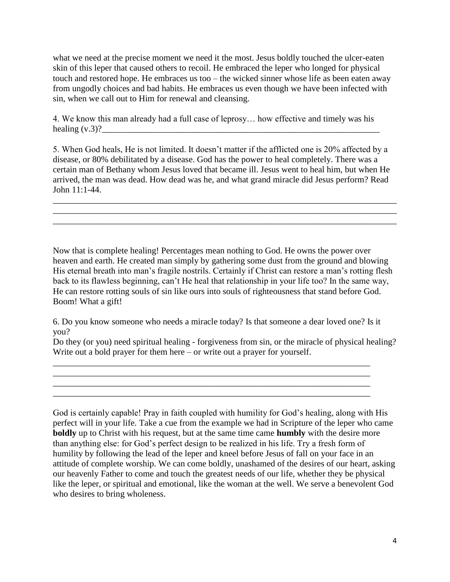what we need at the precise moment we need it the most. Jesus boldly touched the ulcer-eaten skin of this leper that caused others to recoil. He embraced the leper who longed for physical touch and restored hope. He embraces us too – the wicked sinner whose life as been eaten away from ungodly choices and bad habits. He embraces us even though we have been infected with sin, when we call out to Him for renewal and cleansing.

4. We know this man already had a full case of leprosy… how effective and timely was his healing  $(v.3)$ ? $\frac{1}{2}$ 

5. When God heals, He is not limited. It doesn't matter if the afflicted one is 20% affected by a disease, or 80% debilitated by a disease. God has the power to heal completely. There was a certain man of Bethany whom Jesus loved that became ill. Jesus went to heal him, but when He arrived, the man was dead. How dead was he, and what grand miracle did Jesus perform? Read John 11:1-44.

\_\_\_\_\_\_\_\_\_\_\_\_\_\_\_\_\_\_\_\_\_\_\_\_\_\_\_\_\_\_\_\_\_\_\_\_\_\_\_\_\_\_\_\_\_\_\_\_\_\_\_\_\_\_\_\_\_\_\_\_\_\_\_\_\_\_\_\_\_\_\_\_\_\_\_\_\_\_ \_\_\_\_\_\_\_\_\_\_\_\_\_\_\_\_\_\_\_\_\_\_\_\_\_\_\_\_\_\_\_\_\_\_\_\_\_\_\_\_\_\_\_\_\_\_\_\_\_\_\_\_\_\_\_\_\_\_\_\_\_\_\_\_\_\_\_\_\_\_\_\_\_\_\_\_\_\_ \_\_\_\_\_\_\_\_\_\_\_\_\_\_\_\_\_\_\_\_\_\_\_\_\_\_\_\_\_\_\_\_\_\_\_\_\_\_\_\_\_\_\_\_\_\_\_\_\_\_\_\_\_\_\_\_\_\_\_\_\_\_\_\_\_\_\_\_\_\_\_\_\_\_\_\_\_\_

Now that is complete healing! Percentages mean nothing to God. He owns the power over heaven and earth. He created man simply by gathering some dust from the ground and blowing His eternal breath into man's fragile nostrils. Certainly if Christ can restore a man's rotting flesh back to its flawless beginning, can't He heal that relationship in your life too? In the same way, He can restore rotting souls of sin like ours into souls of righteousness that stand before God. Boom! What a gift!

6. Do you know someone who needs a miracle today? Is that someone a dear loved one? Is it you?

\_\_\_\_\_\_\_\_\_\_\_\_\_\_\_\_\_\_\_\_\_\_\_\_\_\_\_\_\_\_\_\_\_\_\_\_\_\_\_\_\_\_\_\_\_\_\_\_\_\_\_\_\_\_\_\_\_\_\_\_\_\_\_\_\_\_\_\_\_\_\_\_ \_\_\_\_\_\_\_\_\_\_\_\_\_\_\_\_\_\_\_\_\_\_\_\_\_\_\_\_\_\_\_\_\_\_\_\_\_\_\_\_\_\_\_\_\_\_\_\_\_\_\_\_\_\_\_\_\_\_\_\_\_\_\_\_\_\_\_\_\_\_\_\_

\_\_\_\_\_\_\_\_\_\_\_\_\_\_\_\_\_\_\_\_\_\_\_\_\_\_\_\_\_\_\_\_\_\_\_\_\_\_\_\_\_\_\_\_\_\_\_\_\_\_\_\_\_\_\_\_\_\_\_\_\_\_\_\_\_\_\_\_\_\_\_\_

Do they (or you) need spiritual healing - forgiveness from sin, or the miracle of physical healing? Write out a bold prayer for them here – or write out a prayer for yourself.

God is certainly capable! Pray in faith coupled with humility for God's healing, along with His perfect will in your life. Take a cue from the example we had in Scripture of the leper who came **boldly** up to Christ with his request, but at the same time came **humbly** with the desire more than anything else: for God's perfect design to be realized in his life. Try a fresh form of humility by following the lead of the leper and kneel before Jesus of fall on your face in an attitude of complete worship. We can come boldly, unashamed of the desires of our heart, asking our heavenly Father to come and touch the greatest needs of our life, whether they be physical like the leper, or spiritual and emotional, like the woman at the well. We serve a benevolent God who desires to bring wholeness.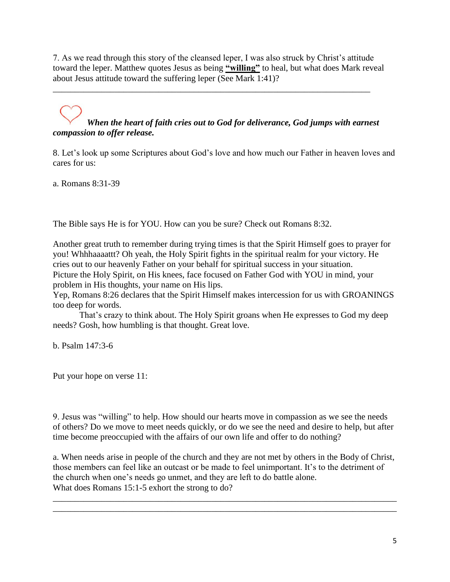7. As we read through this story of the cleansed leper, I was also struck by Christ's attitude toward the leper. Matthew quotes Jesus as being **"willing"** to heal, but what does Mark reveal about Jesus attitude toward the suffering leper (See Mark 1:41)?

\_\_\_\_\_\_\_\_\_\_\_\_\_\_\_\_\_\_\_\_\_\_\_\_\_\_\_\_\_\_\_\_\_\_\_\_\_\_\_\_\_\_\_\_\_\_\_\_\_\_\_\_\_\_\_\_\_\_\_\_\_\_\_\_\_\_\_\_\_\_\_\_

# *When the heart of faith cries out to God for deliverance, God jumps with earnest compassion to offer release.*

8. Let's look up some Scriptures about God's love and how much our Father in heaven loves and cares for us:

a. Romans 8:31-39

The Bible says He is for YOU. How can you be sure? Check out Romans 8:32.

Another great truth to remember during trying times is that the Spirit Himself goes to prayer for you! Whhhaaaattt? Oh yeah, the Holy Spirit fights in the spiritual realm for your victory. He cries out to our heavenly Father on your behalf for spiritual success in your situation. Picture the Holy Spirit, on His knees, face focused on Father God with YOU in mind, your problem in His thoughts, your name on His lips.

Yep, Romans 8:26 declares that the Spirit Himself makes intercession for us with GROANINGS too deep for words.

 That's crazy to think about. The Holy Spirit groans when He expresses to God my deep needs? Gosh, how humbling is that thought. Great love.

b. Psalm 147:3-6

Put your hope on verse 11:

9. Jesus was "willing" to help. How should our hearts move in compassion as we see the needs of others? Do we move to meet needs quickly, or do we see the need and desire to help, but after time become preoccupied with the affairs of our own life and offer to do nothing?

a. When needs arise in people of the church and they are not met by others in the Body of Christ, those members can feel like an outcast or be made to feel unimportant. It's to the detriment of the church when one's needs go unmet, and they are left to do battle alone. What does Romans 15:1-5 exhort the strong to do?

\_\_\_\_\_\_\_\_\_\_\_\_\_\_\_\_\_\_\_\_\_\_\_\_\_\_\_\_\_\_\_\_\_\_\_\_\_\_\_\_\_\_\_\_\_\_\_\_\_\_\_\_\_\_\_\_\_\_\_\_\_\_\_\_\_\_\_\_\_\_\_\_\_\_\_\_\_\_ \_\_\_\_\_\_\_\_\_\_\_\_\_\_\_\_\_\_\_\_\_\_\_\_\_\_\_\_\_\_\_\_\_\_\_\_\_\_\_\_\_\_\_\_\_\_\_\_\_\_\_\_\_\_\_\_\_\_\_\_\_\_\_\_\_\_\_\_\_\_\_\_\_\_\_\_\_\_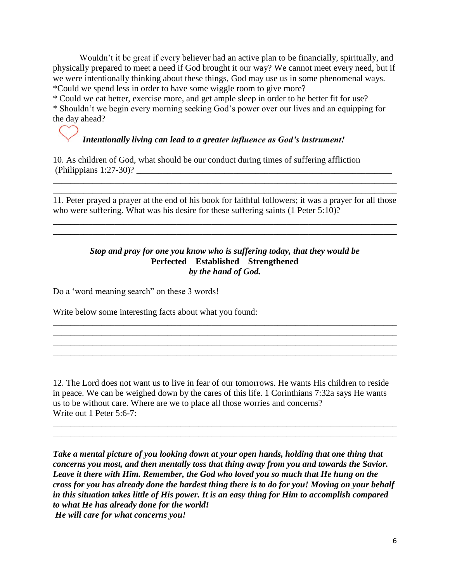Wouldn't it be great if every believer had an active plan to be financially, spiritually, and physically prepared to meet a need if God brought it our way? We cannot meet every need, but if we were intentionally thinking about these things, God may use us in some phenomenal ways. \*Could we spend less in order to have some wiggle room to give more?

\* Could we eat better, exercise more, and get ample sleep in order to be better fit for use? \* Shouldn't we begin every morning seeking God's power over our lives and an equipping for the day ahead?

# *Intentionally living can lead to a greater influence as God's instrument!*

10. As children of God, what should be our conduct during times of suffering affliction  $(Philippians 1:27-30)?$ 

11. Peter prayed a prayer at the end of his book for faithful followers; it was a prayer for all those who were suffering. What was his desire for these suffering saints (1 Peter 5:10)?

\_\_\_\_\_\_\_\_\_\_\_\_\_\_\_\_\_\_\_\_\_\_\_\_\_\_\_\_\_\_\_\_\_\_\_\_\_\_\_\_\_\_\_\_\_\_\_\_\_\_\_\_\_\_\_\_\_\_\_\_\_\_\_\_\_\_\_\_\_\_\_\_\_\_\_\_\_\_ \_\_\_\_\_\_\_\_\_\_\_\_\_\_\_\_\_\_\_\_\_\_\_\_\_\_\_\_\_\_\_\_\_\_\_\_\_\_\_\_\_\_\_\_\_\_\_\_\_\_\_\_\_\_\_\_\_\_\_\_\_\_\_\_\_\_\_\_\_\_\_\_\_\_\_\_\_\_

 $\mathcal{L}_\mathcal{L} = \{ \mathcal{L}_\mathcal{L} = \{ \mathcal{L}_\mathcal{L} = \{ \mathcal{L}_\mathcal{L} = \{ \mathcal{L}_\mathcal{L} = \{ \mathcal{L}_\mathcal{L} = \{ \mathcal{L}_\mathcal{L} = \{ \mathcal{L}_\mathcal{L} = \{ \mathcal{L}_\mathcal{L} = \{ \mathcal{L}_\mathcal{L} = \{ \mathcal{L}_\mathcal{L} = \{ \mathcal{L}_\mathcal{L} = \{ \mathcal{L}_\mathcal{L} = \{ \mathcal{L}_\mathcal{L} = \{ \mathcal{L}_\mathcal{$ \_\_\_\_\_\_\_\_\_\_\_\_\_\_\_\_\_\_\_\_\_\_\_\_\_\_\_\_\_\_\_\_\_\_\_\_\_\_\_\_\_\_\_\_\_\_\_\_\_\_\_\_\_\_\_\_\_\_\_\_\_\_\_\_\_\_\_\_\_\_\_\_\_\_\_\_\_\_

#### *Stop and pray for one you know who is suffering today, that they would be* **Perfected Established Strengthened** *by the hand of God.*

\_\_\_\_\_\_\_\_\_\_\_\_\_\_\_\_\_\_\_\_\_\_\_\_\_\_\_\_\_\_\_\_\_\_\_\_\_\_\_\_\_\_\_\_\_\_\_\_\_\_\_\_\_\_\_\_\_\_\_\_\_\_\_\_\_\_\_\_\_\_\_\_\_\_\_\_\_\_ \_\_\_\_\_\_\_\_\_\_\_\_\_\_\_\_\_\_\_\_\_\_\_\_\_\_\_\_\_\_\_\_\_\_\_\_\_\_\_\_\_\_\_\_\_\_\_\_\_\_\_\_\_\_\_\_\_\_\_\_\_\_\_\_\_\_\_\_\_\_\_\_\_\_\_\_\_\_ \_\_\_\_\_\_\_\_\_\_\_\_\_\_\_\_\_\_\_\_\_\_\_\_\_\_\_\_\_\_\_\_\_\_\_\_\_\_\_\_\_\_\_\_\_\_\_\_\_\_\_\_\_\_\_\_\_\_\_\_\_\_\_\_\_\_\_\_\_\_\_\_\_\_\_\_\_\_ \_\_\_\_\_\_\_\_\_\_\_\_\_\_\_\_\_\_\_\_\_\_\_\_\_\_\_\_\_\_\_\_\_\_\_\_\_\_\_\_\_\_\_\_\_\_\_\_\_\_\_\_\_\_\_\_\_\_\_\_\_\_\_\_\_\_\_\_\_\_\_\_\_\_\_\_\_\_

Do a 'word meaning search" on these 3 words!

Write below some interesting facts about what you found:

12. The Lord does not want us to live in fear of our tomorrows. He wants His children to reside in peace. We can be weighed down by the cares of this life. 1 Corinthians 7:32a says He wants us to be without care. Where are we to place all those worries and concerns? Write out 1 Peter 5:6-7:

\_\_\_\_\_\_\_\_\_\_\_\_\_\_\_\_\_\_\_\_\_\_\_\_\_\_\_\_\_\_\_\_\_\_\_\_\_\_\_\_\_\_\_\_\_\_\_\_\_\_\_\_\_\_\_\_\_\_\_\_\_\_\_\_\_\_\_\_\_\_\_\_\_\_\_\_\_\_ \_\_\_\_\_\_\_\_\_\_\_\_\_\_\_\_\_\_\_\_\_\_\_\_\_\_\_\_\_\_\_\_\_\_\_\_\_\_\_\_\_\_\_\_\_\_\_\_\_\_\_\_\_\_\_\_\_\_\_\_\_\_\_\_\_\_\_\_\_\_\_\_\_\_\_\_\_\_

*Take a mental picture of you looking down at your open hands, holding that one thing that concerns you most, and then mentally toss that thing away from you and towards the Savior. Leave it there with Him. Remember, the God who loved you so much that He hung on the cross for you has already done the hardest thing there is to do for you! Moving on your behalf in this situation takes little of His power. It is an easy thing for Him to accomplish compared to what He has already done for the world! He will care for what concerns you!*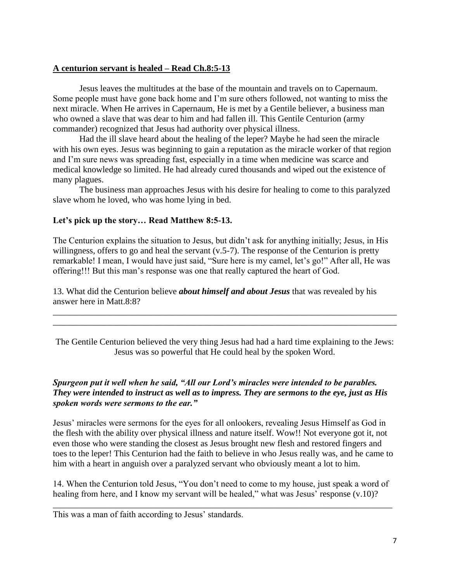#### **A centurion servant is healed – Read Ch.8:5-13**

 Jesus leaves the multitudes at the base of the mountain and travels on to Capernaum. Some people must have gone back home and I'm sure others followed, not wanting to miss the next miracle. When He arrives in Capernaum, He is met by a Gentile believer, a business man who owned a slave that was dear to him and had fallen ill. This Gentile Centurion (army commander) recognized that Jesus had authority over physical illness.

 Had the ill slave heard about the healing of the leper? Maybe he had seen the miracle with his own eyes. Jesus was beginning to gain a reputation as the miracle worker of that region and I'm sure news was spreading fast, especially in a time when medicine was scarce and medical knowledge so limited. He had already cured thousands and wiped out the existence of many plagues.

 The business man approaches Jesus with his desire for healing to come to this paralyzed slave whom he loved, who was home lying in bed.

## **Let's pick up the story… Read Matthew 8:5-13.**

The Centurion explains the situation to Jesus, but didn't ask for anything initially; Jesus, in His willingness, offers to go and heal the servant (v.5-7). The response of the Centurion is pretty remarkable! I mean, I would have just said, "Sure here is my camel, let's go!" After all, He was offering!!! But this man's response was one that really captured the heart of God.

13. What did the Centurion believe *about himself and about Jesus* that was revealed by his answer here in Matt.8:8?

The Gentile Centurion believed the very thing Jesus had had a hard time explaining to the Jews: Jesus was so powerful that He could heal by the spoken Word.

\_\_\_\_\_\_\_\_\_\_\_\_\_\_\_\_\_\_\_\_\_\_\_\_\_\_\_\_\_\_\_\_\_\_\_\_\_\_\_\_\_\_\_\_\_\_\_\_\_\_\_\_\_\_\_\_\_\_\_\_\_\_\_\_\_\_\_\_\_\_\_\_\_\_\_\_\_\_ \_\_\_\_\_\_\_\_\_\_\_\_\_\_\_\_\_\_\_\_\_\_\_\_\_\_\_\_\_\_\_\_\_\_\_\_\_\_\_\_\_\_\_\_\_\_\_\_\_\_\_\_\_\_\_\_\_\_\_\_\_\_\_\_\_\_\_\_\_\_\_\_\_\_\_\_\_\_

## *Spurgeon put it well when he said, "All our Lord's miracles were intended to be parables. They were intended to instruct as well as to impress. They are sermons to the eye, just as His spoken words were sermons to the ear."*

Jesus' miracles were sermons for the eyes for all onlookers, revealing Jesus Himself as God in the flesh with the ability over physical illness and nature itself. Wow!! Not everyone got it, not even those who were standing the closest as Jesus brought new flesh and restored fingers and toes to the leper! This Centurion had the faith to believe in who Jesus really was, and he came to him with a heart in anguish over a paralyzed servant who obviously meant a lot to him.

14. When the Centurion told Jesus, "You don't need to come to my house, just speak a word of healing from here, and I know my servant will be healed," what was Jesus' response (v.10)?

\_\_\_\_\_\_\_\_\_\_\_\_\_\_\_\_\_\_\_\_\_\_\_\_\_\_\_\_\_\_\_\_\_\_\_\_\_\_\_\_\_\_\_\_\_\_\_\_\_\_\_\_\_\_\_\_\_\_\_\_\_\_\_\_\_\_\_\_\_\_\_\_\_\_\_\_\_

This was a man of faith according to Jesus' standards.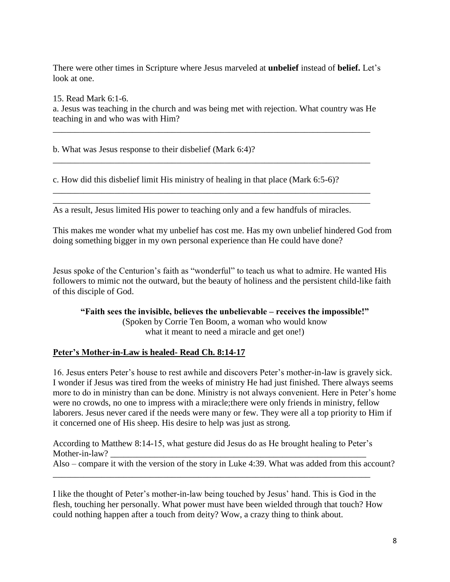There were other times in Scripture where Jesus marveled at **unbelief** instead of **belief.** Let's look at one.

15. Read Mark 6:1-6.

a. Jesus was teaching in the church and was being met with rejection. What country was He teaching in and who was with Him?

\_\_\_\_\_\_\_\_\_\_\_\_\_\_\_\_\_\_\_\_\_\_\_\_\_\_\_\_\_\_\_\_\_\_\_\_\_\_\_\_\_\_\_\_\_\_\_\_\_\_\_\_\_\_\_\_\_\_\_\_\_\_\_\_\_\_\_\_\_\_\_\_

\_\_\_\_\_\_\_\_\_\_\_\_\_\_\_\_\_\_\_\_\_\_\_\_\_\_\_\_\_\_\_\_\_\_\_\_\_\_\_\_\_\_\_\_\_\_\_\_\_\_\_\_\_\_\_\_\_\_\_\_\_\_\_\_\_\_\_\_\_\_\_\_

\_\_\_\_\_\_\_\_\_\_\_\_\_\_\_\_\_\_\_\_\_\_\_\_\_\_\_\_\_\_\_\_\_\_\_\_\_\_\_\_\_\_\_\_\_\_\_\_\_\_\_\_\_\_\_\_\_\_\_\_\_\_\_\_\_\_\_\_\_\_\_\_ \_\_\_\_\_\_\_\_\_\_\_\_\_\_\_\_\_\_\_\_\_\_\_\_\_\_\_\_\_\_\_\_\_\_\_\_\_\_\_\_\_\_\_\_\_\_\_\_\_\_\_\_\_\_\_\_\_\_\_\_\_\_\_\_\_\_\_\_\_\_\_\_

b. What was Jesus response to their disbelief (Mark 6:4)?

c. How did this disbelief limit His ministry of healing in that place (Mark 6:5-6)?

As a result, Jesus limited His power to teaching only and a few handfuls of miracles.

This makes me wonder what my unbelief has cost me. Has my own unbelief hindered God from doing something bigger in my own personal experience than He could have done?

Jesus spoke of the Centurion's faith as "wonderful" to teach us what to admire. He wanted His followers to mimic not the outward, but the beauty of holiness and the persistent child-like faith of this disciple of God.

**"Faith sees the invisible, believes the unbelievable – receives the impossible!"** (Spoken by Corrie Ten Boom, a woman who would know what it meant to need a miracle and get one!)

# **Peter's Mother-in-Law is healed- Read Ch. 8:14-17**

16. Jesus enters Peter's house to rest awhile and discovers Peter's mother-in-law is gravely sick. I wonder if Jesus was tired from the weeks of ministry He had just finished. There always seems more to do in ministry than can be done. Ministry is not always convenient. Here in Peter's home were no crowds, no one to impress with a miracle;there were only friends in ministry, fellow laborers. Jesus never cared if the needs were many or few. They were all a top priority to Him if it concerned one of His sheep. His desire to help was just as strong.

According to Matthew 8:14-15, what gesture did Jesus do as He brought healing to Peter's Mother-in-law?

Also – compare it with the version of the story in Luke 4:39. What was added from this account? \_\_\_\_\_\_\_\_\_\_\_\_\_\_\_\_\_\_\_\_\_\_\_\_\_\_\_\_\_\_\_\_\_\_\_\_\_\_\_\_\_\_\_\_\_\_\_\_\_\_\_\_\_\_\_\_\_\_\_\_\_\_\_\_\_\_\_\_\_\_\_\_

I like the thought of Peter's mother-in-law being touched by Jesus' hand. This is God in the flesh, touching her personally. What power must have been wielded through that touch? How could nothing happen after a touch from deity? Wow, a crazy thing to think about.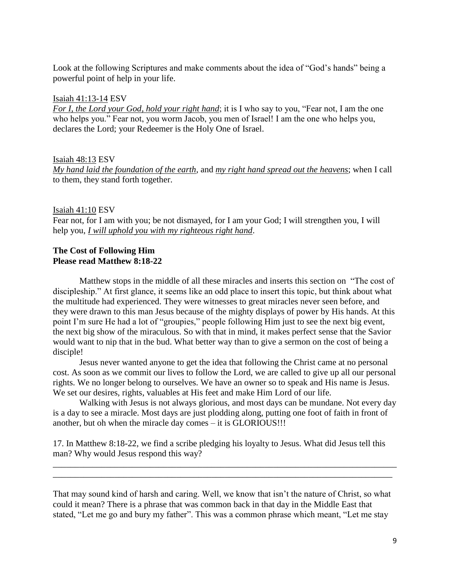Look at the following Scriptures and make comments about the idea of "God's hands" being a powerful point of help in your life.

#### [Isaiah 41:13-14](https://www.biblegateway.com/passage/?search=Isaiah+41%3A13-14&version=ESV) ESV

*For I, the Lord your God, hold your right hand*; it is I who say to you, "Fear not, I am the one who helps you." Fear not, you worm Jacob, you men of Israel! I am the one who helps you, declares the Lord; your Redeemer is the Holy One of Israel.

#### [Isaiah 48:13](https://www.biblegateway.com/passage/?search=Isaiah+48%3A13&version=ESV) ESV

*My hand laid the foundation of the earth*, and *my right hand spread out the heavens*; when I call to them, they stand forth together.

#### [Isaiah 41:10](https://www.biblegateway.com/passage/?search=Isaiah+41%3A10&version=ESV) ESV

Fear not, for I am with you; be not dismayed, for I am your God; I will strengthen you, I will help you, *I will uphold you with my righteous right hand*.

#### **The Cost of Following Him Please read Matthew 8:18-22**

 Matthew stops in the middle of all these miracles and inserts this section on "The cost of discipleship." At first glance, it seems like an odd place to insert this topic, but think about what the multitude had experienced. They were witnesses to great miracles never seen before, and they were drawn to this man Jesus because of the mighty displays of power by His hands. At this point I'm sure He had a lot of "groupies," people following Him just to see the next big event, the next big show of the miraculous. So with that in mind, it makes perfect sense that the Savior would want to nip that in the bud. What better way than to give a sermon on the cost of being a disciple!

 Jesus never wanted anyone to get the idea that following the Christ came at no personal cost. As soon as we commit our lives to follow the Lord, we are called to give up all our personal rights. We no longer belong to ourselves. We have an owner so to speak and His name is Jesus. We set our desires, rights, valuables at His feet and make Him Lord of our life.

 Walking with Jesus is not always glorious, and most days can be mundane. Not every day is a day to see a miracle. Most days are just plodding along, putting one foot of faith in front of another, but oh when the miracle day comes – it is GLORIOUS!!!

17. In Matthew 8:18-22, we find a scribe pledging his loyalty to Jesus. What did Jesus tell this man? Why would Jesus respond this way?

\_\_\_\_\_\_\_\_\_\_\_\_\_\_\_\_\_\_\_\_\_\_\_\_\_\_\_\_\_\_\_\_\_\_\_\_\_\_\_\_\_\_\_\_\_\_\_\_\_\_\_\_\_\_\_\_\_\_\_\_\_\_\_\_\_\_\_\_\_\_\_\_\_\_\_\_\_\_ \_\_\_\_\_\_\_\_\_\_\_\_\_\_\_\_\_\_\_\_\_\_\_\_\_\_\_\_\_\_\_\_\_\_\_\_\_\_\_\_\_\_\_\_\_\_\_\_\_\_\_\_\_\_\_\_\_\_\_\_\_\_\_\_\_\_\_\_\_\_\_\_\_\_\_\_\_

That may sound kind of harsh and caring. Well, we know that isn't the nature of Christ, so what could it mean? There is a phrase that was common back in that day in the Middle East that stated, "Let me go and bury my father". This was a common phrase which meant, "Let me stay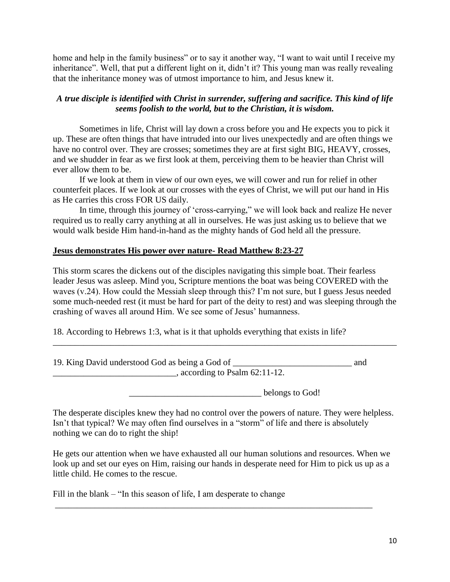home and help in the family business" or to say it another way, "I want to wait until I receive my inheritance". Well, that put a different light on it, didn't it? This young man was really revealing that the inheritance money was of utmost importance to him, and Jesus knew it.

# *A true disciple is identified with Christ in surrender, suffering and sacrifice. This kind of life seems foolish to the world, but to the Christian, it is wisdom.*

Sometimes in life, Christ will lay down a cross before you and He expects you to pick it up. These are often things that have intruded into our lives unexpectedly and are often things we have no control over. They are crosses; sometimes they are at first sight BIG, HEAVY, crosses, and we shudder in fear as we first look at them, perceiving them to be heavier than Christ will ever allow them to be.

 If we look at them in view of our own eyes, we will cower and run for relief in other counterfeit places. If we look at our crosses with the eyes of Christ, we will put our hand in His as He carries this cross FOR US daily.

 In time, through this journey of 'cross-carrying," we will look back and realize He never required us to really carry anything at all in ourselves. He was just asking us to believe that we would walk beside Him hand-in-hand as the mighty hands of God held all the pressure.

## **Jesus demonstrates His power over nature- Read Matthew 8:23-27**

This storm scares the dickens out of the disciples navigating this simple boat. Their fearless leader Jesus was asleep. Mind you, Scripture mentions the boat was being COVERED with the waves (v.24). How could the Messiah sleep through this? I'm not sure, but I guess Jesus needed some much-needed rest (it must be hard for part of the deity to rest) and was sleeping through the crashing of waves all around Him. We see some of Jesus' humanness.

\_\_\_\_\_\_\_\_\_\_\_\_\_\_\_\_\_\_\_\_\_\_\_\_\_\_\_\_\_\_\_\_\_\_\_\_\_\_\_\_\_\_\_\_\_\_\_\_\_\_\_\_\_\_\_\_\_\_\_\_\_\_\_\_\_\_\_\_\_\_\_\_\_\_\_\_\_\_

18. According to Hebrews 1:3, what is it that upholds everything that exists in life?

| 19. King David understood God as being a God of | and |
|-------------------------------------------------|-----|
| , according to Psalm $62:11-12$ .               |     |

belongs to God!

The desperate disciples knew they had no control over the powers of nature. They were helpless. Isn't that typical? We may often find ourselves in a "storm" of life and there is absolutely nothing we can do to right the ship!

He gets our attention when we have exhausted all our human solutions and resources. When we look up and set our eyes on Him, raising our hands in desperate need for Him to pick us up as a little child. He comes to the rescue.

\_\_\_\_\_\_\_\_\_\_\_\_\_\_\_\_\_\_\_\_\_\_\_\_\_\_\_\_\_\_\_\_\_\_\_\_\_\_\_\_\_\_\_\_\_\_\_\_\_\_\_\_\_\_\_\_\_\_\_\_\_\_\_\_\_\_\_\_\_\_\_\_

Fill in the blank – "In this season of life, I am desperate to change